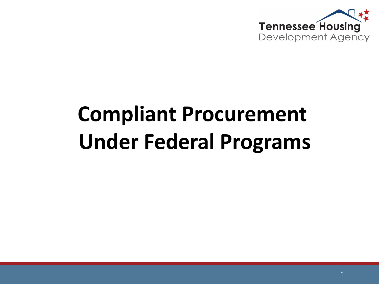

# **Compliant Procurement Under Federal Programs**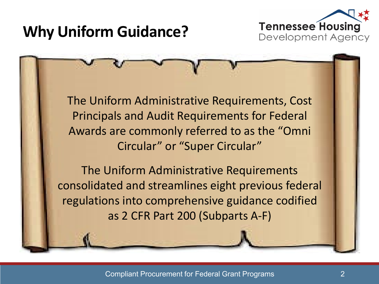

# **Why Uniform Guidance?**

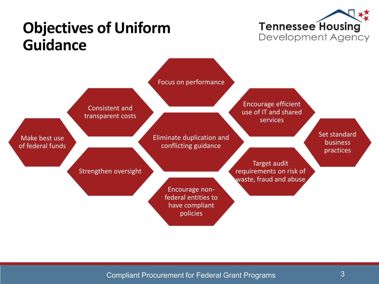

# **Objectives of Uniform Guidance**

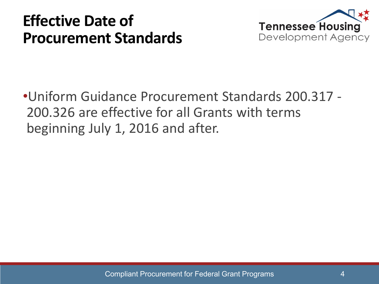# **Effective Date of Procurement Standards**



•Uniform Guidance Procurement Standards 200.317 - 200.326 are effective for all Grants with terms beginning July 1, 2016 and after.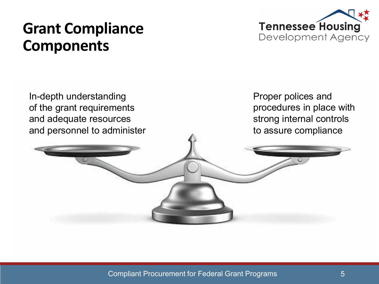# **Grant Compliance Components**





Compliant Procurement for Federal Grant Programs 5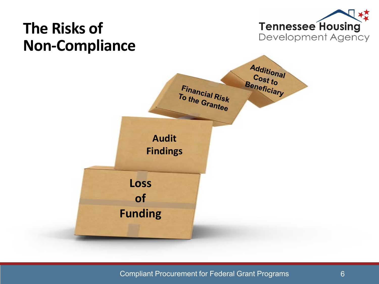

#### Compliant Procurement for Federal Grant Programs 6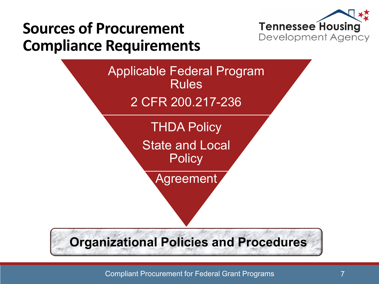

# **Sources of Procurement Compliance Requirements**

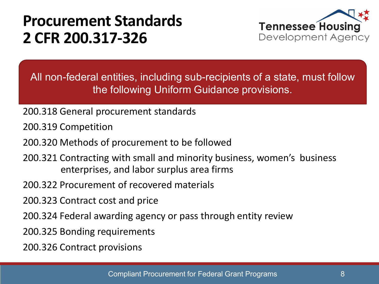# **Procurement Standards 2 CFR 200.317-326**



All non-federal entities, including sub-recipients of a state, must follow the following Uniform Guidance provisions.

- 200.318 General procurement standards
- 200.319 Competition
- 200.320 Methods of procurement to be followed
- 200.321 Contracting with small and minority business, women's business enterprises, and labor surplus area firms
- 200.322 Procurement of recovered materials
- 200.323 Contract cost and price
- 200.324 Federal awarding agency or pass through entity review
- 200.325 Bonding requirements
- 200.326 Contract provisions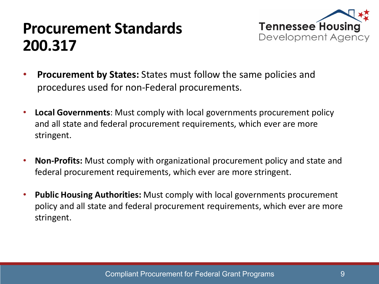## **Procurement Standards 200.317**



- **Procurement by States:** States must follow the same policies and procedures used for non-Federal procurements.
- **Local Governments**: Must comply with local governments procurement policy and all state and federal procurement requirements, which ever are more stringent.
- **Non-Profits:** Must comply with organizational procurement policy and state and federal procurement requirements, which ever are more stringent.
- **Public Housing Authorities:** Must comply with local governments procurement policy and all state and federal procurement requirements, which ever are more stringent.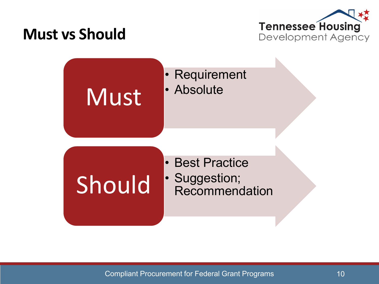### **Must vs Should**



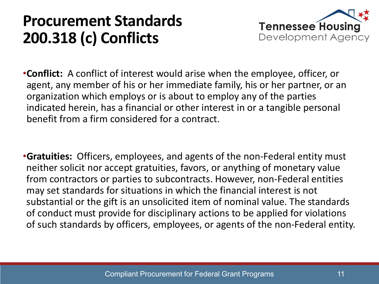# **Procurement Standards 200.318 (c) Conflicts**



- •**Conflict:** A conflict of interest would arise when the employee, officer, or agent, any member of his or her immediate family, his or her partner, or an organization which employs or is about to employ any of the parties indicated herein, has a financial or other interest in or a tangible personal benefit from a firm considered for a contract.
- •**Gratuities:** Officers, employees, and agents of the non-Federal entity must neither solicit nor accept gratuities, favors, or anything of monetary value from contractors or parties to subcontracts. However, non-Federal entities may set standards for situations in which the financial interest is not substantial or the gift is an unsolicited item of nominal value. The standards of conduct must provide for disciplinary actions to be applied for violations of such standards by officers, employees, or agents of the non-Federal entity.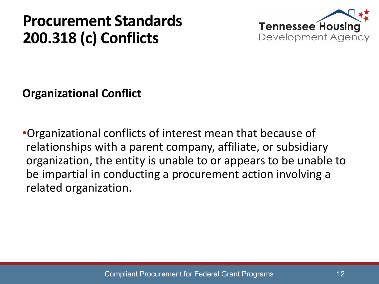# **Procurement Standards 200.318 (c) Conflicts**



**Organizational Conflict**

•Organizational conflicts of interest mean that because of relationships with a parent company, affiliate, or subsidiary organization, the entity is unable to or appears to be unable to be impartial in conducting a procurement action involving a related organization.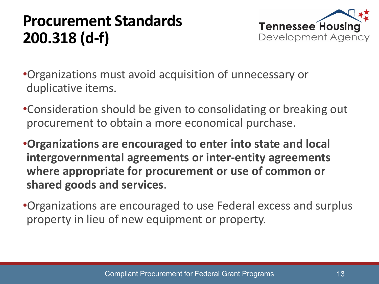# **Procurement Standards 200.318 (d-f)**



- •Organizations must avoid acquisition of unnecessary or duplicative items.
- •Consideration should be given to consolidating or breaking out procurement to obtain a more economical purchase.
- •**Organizations are encouraged to enter into state and local intergovernmental agreements or inter-entity agreements where appropriate for procurement or use of common or shared goods and services**.
- •Organizations are encouraged to use Federal excess and surplus property in lieu of new equipment or property.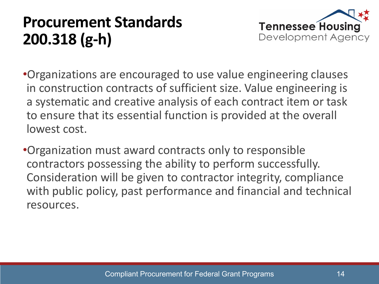# **Procurement Standards 200.318 (g-h)**



- •Organizations are encouraged to use value engineering clauses in construction contracts of sufficient size. Value engineering is a systematic and creative analysis of each contract item or task to ensure that its essential function is provided at the overall lowest cost.
- •Organization must award contracts only to responsible contractors possessing the ability to perform successfully. Consideration will be given to contractor integrity, compliance with public policy, past performance and financial and technical resources.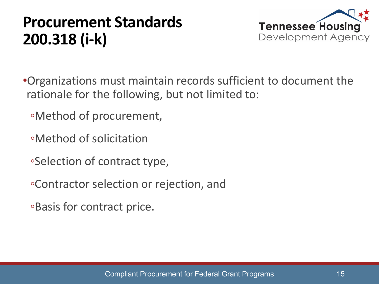# **Procurement Standards 200.318 (i-k)**



- •Organizations must maintain records sufficient to document the rationale for the following, but not limited to:
	- ◦Method of procurement,
	- ◦Method of solicitation
	- ◦Selection of contract type,
	- ◦Contractor selection or rejection, and
	- ◦Basis for contract price.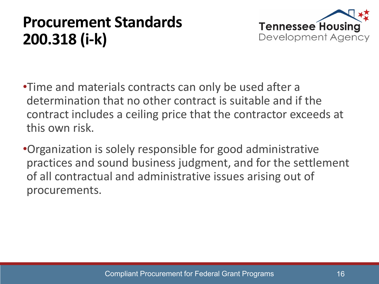# **Procurement Standards 200.318 (i-k)**



- •Time and materials contracts can only be used after a determination that no other contract is suitable and if the contract includes a ceiling price that the contractor exceeds at this own risk.
- •Organization is solely responsible for good administrative practices and sound business judgment, and for the settlement of all contractual and administrative issues arising out of procurements.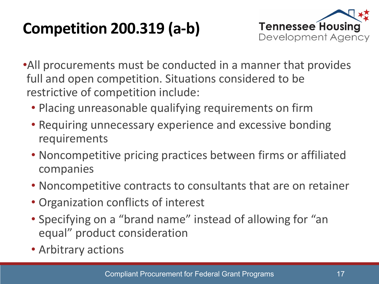# **Competition 200.319 (a-b)**



- •All procurements must be conducted in a manner that provides full and open competition. Situations considered to be restrictive of competition include:
	- Placing unreasonable qualifying requirements on firm
	- Requiring unnecessary experience and excessive bonding requirements
	- Noncompetitive pricing practices between firms or affiliated companies
	- Noncompetitive contracts to consultants that are on retainer
	- Organization conflicts of interest
	- Specifying on a "brand name" instead of allowing for "an equal" product consideration
	- Arbitrary actions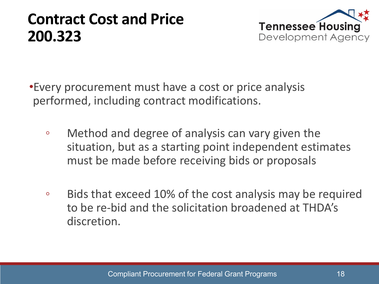### **Contract Cost and Price 200.323**



•Every procurement must have a cost or price analysis performed, including contract modifications.

- Method and degree of analysis can vary given the situation, but as a starting point independent estimates must be made before receiving bids or proposals
- Bids that exceed 10% of the cost analysis may be required to be re-bid and the solicitation broadened at THDA's discretion.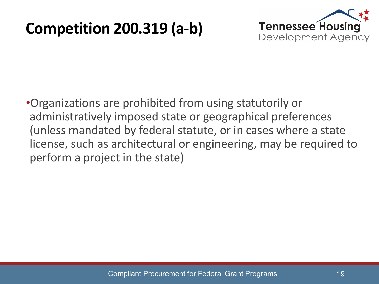# **Competition 200.319 (a-b)**



•Organizations are prohibited from using statutorily or administratively imposed state or geographical preferences (unless mandated by federal statute, or in cases where a state license, such as architectural or engineering, may be required to perform a project in the state)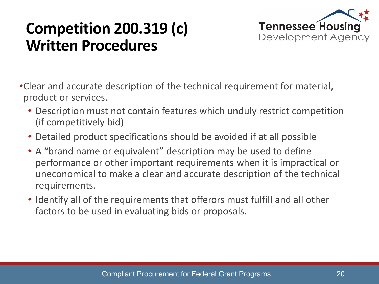# **Competition 200.319 (c) Written Procedures**



- •Clear and accurate description of the technical requirement for material, product or services.
	- Description must not contain features which unduly restrict competition (if competitively bid)
	- Detailed product specifications should be avoided if at all possible
	- A "brand name or equivalent" description may be used to define performance or other important requirements when it is impractical or uneconomical to make a clear and accurate description of the technical requirements.
	- Identify all of the requirements that offerors must fulfill and all other factors to be used in evaluating bids or proposals.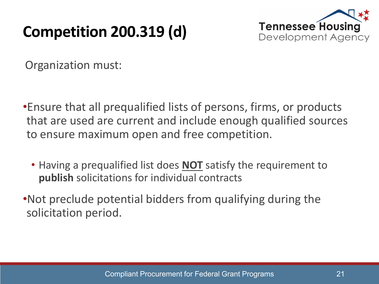# **Competition 200.319 (d)**



Organization must:

- •Ensure that all prequalified lists of persons, firms, or products that are used are current and include enough qualified sources to ensure maximum open and free competition.
	- Having a prequalified list does **NOT** satisfy the requirement to **publish** solicitations for individual contracts
- •Not preclude potential bidders from qualifying during the solicitation period.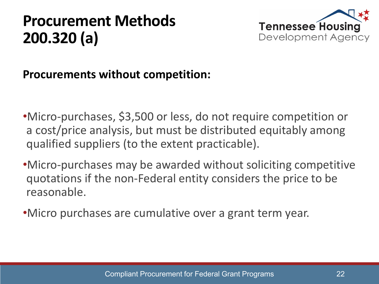

#### **Procurements without competition:**

- •Micro-purchases, \$3,500 or less, do not require competition or a cost/price analysis, but must be distributed equitably among qualified suppliers (to the extent practicable).
- •Micro-purchases may be awarded without soliciting competitive quotations if the non-Federal entity considers the price to be reasonable.
- •Micro purchases are cumulative over a grant term year.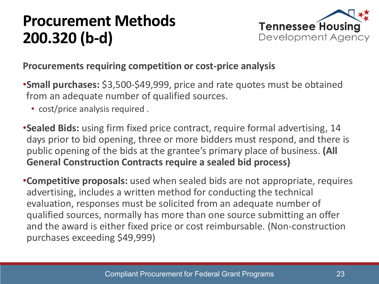

#### **Procurements requiring competition or cost-price analysis**

- •**Small purchases:** \$3,500-\$49,999, price and rate quotes must be obtained from an adequate number of qualified sources.
	- cost/price analysis required .
- •**Sealed Bids:** using firm fixed price contract, require formal advertising, 14 days prior to bid opening, three or more bidders must respond, and there is public opening of the bids at the grantee's primary place of business. **(All General Construction Contracts require a sealed bid process)**
- •**Competitive proposals:** used when sealed bids are not appropriate, requires advertising, includes a written method for conducting the technical evaluation, responses must be solicited from an adequate number of qualified sources, normally has more than one source submitting an offer and the award is either fixed price or cost reimbursable. (Non-construction purchases exceeding \$49,999)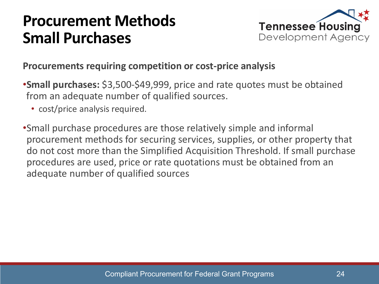### **Procurement Methods Small Purchases**



#### **Procurements requiring competition or cost-price analysis**

- •**Small purchases:** \$3,500-\$49,999, price and rate quotes must be obtained from an adequate number of qualified sources.
	- cost/price analysis required.
- •Small purchase procedures are those relatively simple and informal procurement methods for securing services, supplies, or other property that do not cost more than the Simplified Acquisition Threshold. If small purchase procedures are used, price or rate quotations must be obtained from an adequate number of qualified sources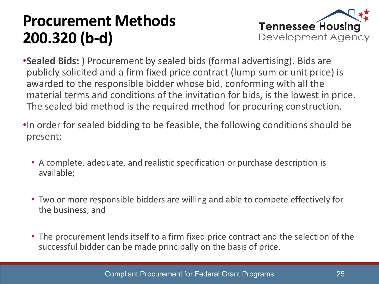

- •**Sealed Bids:** ) Procurement by sealed bids (formal advertising). Bids are publicly solicited and a firm fixed price contract (lump sum or unit price) is awarded to the responsible bidder whose bid, conforming with all the material terms and conditions of the invitation for bids, is the lowest in price. The sealed bid method is the required method for procuring construction.
- •In order for sealed bidding to be feasible, the following conditions should be present:
	- A complete, adequate, and realistic specification or purchase description is available;
	- Two or more responsible bidders are willing and able to compete effectively for the business; and
	- The procurement lends itself to a firm fixed price contract and the selection of the successful bidder can be made principally on the basis of price.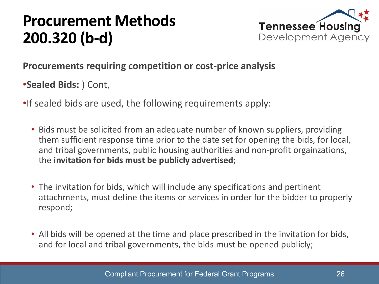

#### **Procurements requiring competition or cost-price analysis**

- •**Sealed Bids:** ) Cont,
- •If sealed bids are used, the following requirements apply:
	- Bids must be solicited from an adequate number of known suppliers, providing them sufficient response time prior to the date set for opening the bids, for local, and tribal governments, public housing authorities and non-profit orgainzations, the **invitation for bids must be publicly advertised**;
	- The invitation for bids, which will include any specifications and pertinent attachments, must define the items or services in order for the bidder to properly respond;
	- All bids will be opened at the time and place prescribed in the invitation for bids, and for local and tribal governments, the bids must be opened publicly;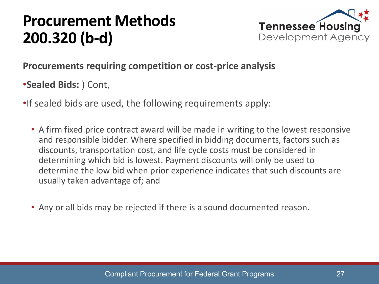

#### **Procurements requiring competition or cost-price analysis**

•**Sealed Bids:** ) Cont,

- •If sealed bids are used, the following requirements apply:
	- A firm fixed price contract award will be made in writing to the lowest responsive and responsible bidder. Where specified in bidding documents, factors such as discounts, transportation cost, and life cycle costs must be considered in determining which bid is lowest. Payment discounts will only be used to determine the low bid when prior experience indicates that such discounts are usually taken advantage of; and
	- Any or all bids may be rejected if there is a sound documented reason.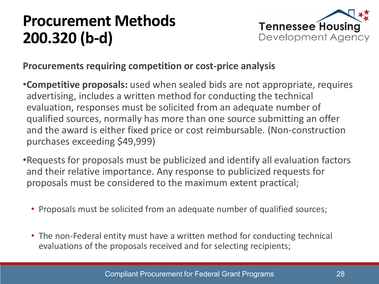

#### **Procurements requiring competition or cost-price analysis**

- •**Competitive proposals:** used when sealed bids are not appropriate, requires advertising, includes a written method for conducting the technical evaluation, responses must be solicited from an adequate number of qualified sources, normally has more than one source submitting an offer and the award is either fixed price or cost reimbursable. (Non-construction purchases exceeding \$49,999)
- •Requests for proposals must be publicized and identify all evaluation factors and their relative importance. Any response to publicized requests for proposals must be considered to the maximum extent practical;
	- Proposals must be solicited from an adequate number of qualified sources;
	- The non-Federal entity must have a written method for conducting technical evaluations of the proposals received and for selecting recipients;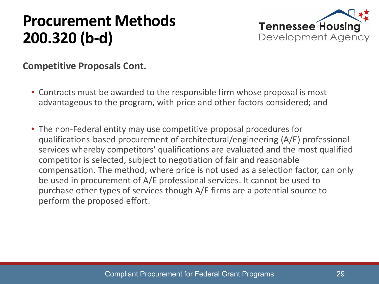

**Competitive Proposals Cont.** 

- Contracts must be awarded to the responsible firm whose proposal is most advantageous to the program, with price and other factors considered; and
- The non-Federal entity may use competitive proposal procedures for qualifications-based procurement of architectural/engineering (A/E) professional services whereby competitors' qualifications are evaluated and the most qualified competitor is selected, subject to negotiation of fair and reasonable compensation. The method, where price is not used as a selection factor, can only be used in procurement of A/E professional services. It cannot be used to purchase other types of services though A/E firms are a potential source to perform the proposed effort.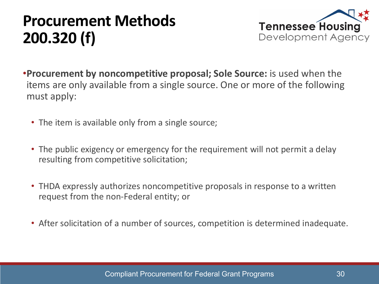

- •**Procurement by noncompetitive proposal; Sole Source:** is used when the items are only available from a single source. One or more of the following must apply:
	- The item is available only from a single source;
	- The public exigency or emergency for the requirement will not permit a delay resulting from competitive solicitation;
	- THDA expressly authorizes noncompetitive proposals in response to a written request from the non-Federal entity; or
	- After solicitation of a number of sources, competition is determined inadequate.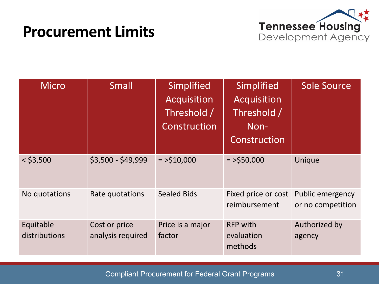### **Procurement Limits**



| <b>Micro</b>               | <b>Small</b>                       | Simplified<br>Acquisition<br>Threshold /<br>Construction | Simplified<br>Acquisition<br>Threshold /<br>Non-<br>Construction | <b>Sole Source</b>                    |
|----------------------------|------------------------------------|----------------------------------------------------------|------------------------------------------------------------------|---------------------------------------|
| $<$ \$3,500                | \$3,500 - \$49,999                 | $=$ >\$10,000                                            | $=$ >\$50,000                                                    | Unique                                |
| No quotations              | Rate quotations                    | <b>Sealed Bids</b>                                       | Fixed price or cost<br>reimbursement                             | Public emergency<br>or no competition |
| Equitable<br>distributions | Cost or price<br>analysis required | Price is a major<br>factor                               | <b>RFP with</b><br>evaluation<br>methods                         | Authorized by<br>agency               |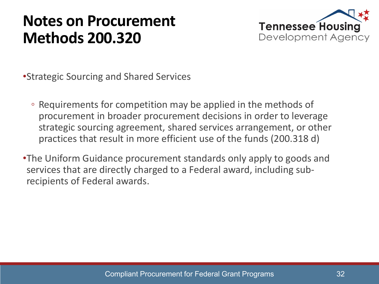### **Notes on Procurement Methods 200.320**



•Strategic Sourcing and Shared Services

- Requirements for competition may be applied in the methods of procurement in broader procurement decisions in order to leverage strategic sourcing agreement, shared services arrangement, or other practices that result in more efficient use of the funds (200.318 d)
- •The Uniform Guidance procurement standards only apply to goods and services that are directly charged to a Federal award, including subrecipients of Federal awards.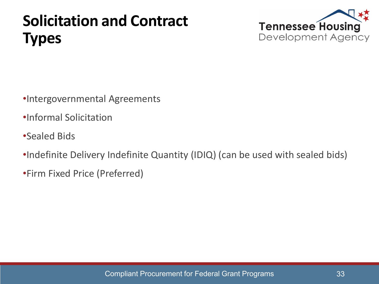# **Solicitation and Contract Types**



- •Intergovernmental Agreements
- •Informal Solicitation
- •Sealed Bids
- •Indefinite Delivery Indefinite Quantity (IDIQ) (can be used with sealed bids)
- •Firm Fixed Price (Preferred)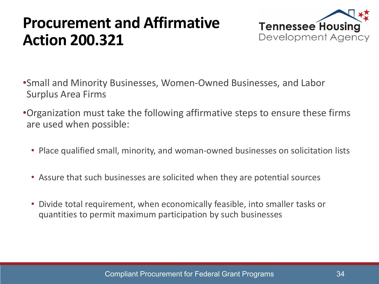# **Procurement and Affirmative Action 200.321**



- •Small and Minority Businesses, Women-Owned Businesses, and Labor Surplus Area Firms
- •Organization must take the following affirmative steps to ensure these firms are used when possible:
	- Place qualified small, minority, and woman-owned businesses on solicitation lists
	- Assure that such businesses are solicited when they are potential sources
	- Divide total requirement, when economically feasible, into smaller tasks or quantities to permit maximum participation by such businesses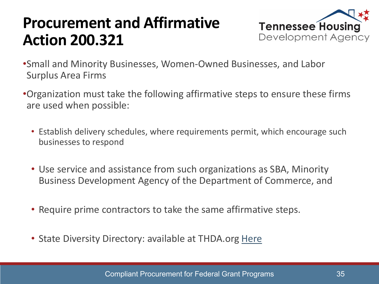# **Procurement and Affirmative Action 200.321**



- •Small and Minority Businesses, Women-Owned Businesses, and Labor Surplus Area Firms
- •Organization must take the following affirmative steps to ensure these firms are used when possible:
	- Establish delivery schedules, where requirements permit, which encourage such businesses to respond
	- Use service and assistance from such organizations as SBA, Minority Business Development Agency of the Department of Commerce, and
	- Require prime contractors to take the same affirmative steps.
	- State Diversity Directory: available at THDA.org [Here](https://tn.diversitysoftware.com/?TN=tn)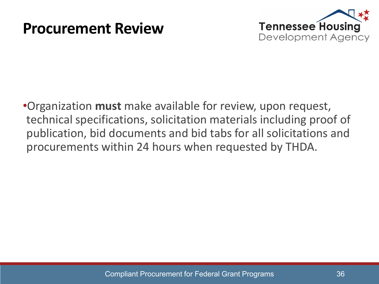#### **Procurement Review**



•Organization **must** make available for review, upon request, technical specifications, solicitation materials including proof of publication, bid documents and bid tabs for all solicitations and procurements within 24 hours when requested by THDA.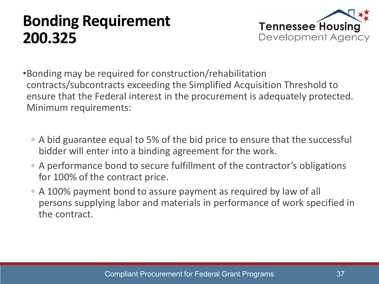# **Bonding Requirement 200.325**



- •Bonding may be required for construction/rehabilitation contracts/subcontracts exceeding the Simplified Acquisition Threshold to ensure that the Federal interest in the procurement is adequately protected. Minimum requirements:
	- A bid guarantee equal to 5% of the bid price to ensure that the successful bidder will enter into a binding agreement for the work.
	- A performance bond to secure fulfillment of the contractor's obligations for 100% of the contract price.
	- A 100% payment bond to assure payment as required by law of all persons supplying labor and materials in performance of work specified in the contract.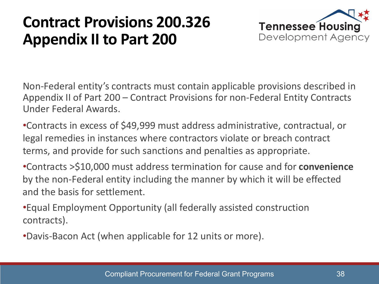# **Contract Provisions 200.326 Appendix II to Part 200**



Non-Federal entity's contracts must contain applicable provisions described in Appendix II of Part 200 – Contract Provisions for non-Federal Entity Contracts Under Federal Awards.

•Contracts in excess of \$49,999 must address administrative, contractual, or legal remedies in instances where contractors violate or breach contract terms, and provide for such sanctions and penalties as appropriate.

•Contracts >\$10,000 must address termination for cause and for **convenience** by the non-Federal entity including the manner by which it will be effected and the basis for settlement.

•Equal Employment Opportunity (all federally assisted construction contracts).

•Davis-Bacon Act (when applicable for 12 units or more).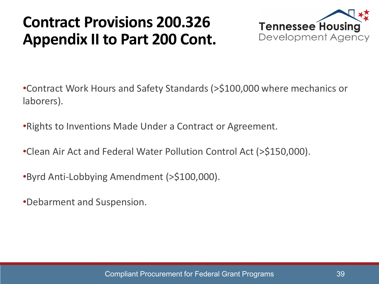# **Contract Provisions 200.326 Appendix II to Part 200 Cont.**



•Contract Work Hours and Safety Standards (>\$100,000 where mechanics or laborers).

•Rights to Inventions Made Under a Contract or Agreement.

•Clean Air Act and Federal Water Pollution Control Act (>\$150,000).

•Byrd Anti-Lobbying Amendment (>\$100,000).

•Debarment and Suspension.